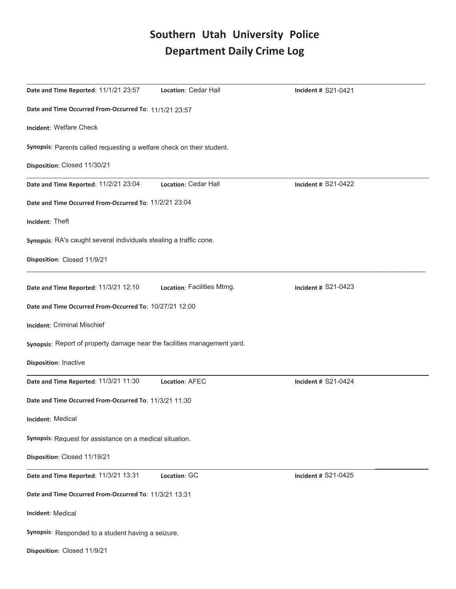# Southern Utah University Police **Department Daily Crime Log**

| Date and Time Reported: 11/1/21 23:57                                    | Location: Cedar Hall       | <b>Incident # S21-0421</b> |  |
|--------------------------------------------------------------------------|----------------------------|----------------------------|--|
| Date and Time Occurred From-Occurred To: 11/1/21 23:57                   |                            |                            |  |
| Incident: Welfare Check                                                  |                            |                            |  |
| Synopsis: Parents called requesting a welfare check on their student.    |                            |                            |  |
| Disposition: Closed 11/30/21                                             |                            |                            |  |
| Date and Time Reported: 11/2/21 23:04                                    | Location: Cedar Hall       | <b>Incident # S21-0422</b> |  |
| Date and Time Occurred From-Occurred To: 11/2/21 23:04                   |                            |                            |  |
| Incident: Theft                                                          |                            |                            |  |
| Synopsis: RA's caught several individuals stealing a traffic cone.       |                            |                            |  |
| Disposition: Closed 11/9/21                                              |                            |                            |  |
| Date and Time Reported: 11/3/21 12:10                                    | Location: Facilities Mtmg. | Incident # S21-0423        |  |
| Date and Time Occurred From-Occurred To: 10/27/21 12:00                  |                            |                            |  |
| <b>Incident: Criminal Mischief</b>                                       |                            |                            |  |
| Synopsis: Report of property damage near the facilities management yard. |                            |                            |  |
| Disposition: Inactive                                                    |                            |                            |  |
| Date and Time Reported: 11/3/21 11:30                                    | Location: AFEC             | <b>Incident # S21-0424</b> |  |
| Date and Time Occurred From-Occurred To: 11/3/21 11:30                   |                            |                            |  |
| Incident: Medical                                                        |                            |                            |  |
| Synopsis: Request for assistance on a medical situation.                 |                            |                            |  |
| Disposition: Closed 11/19/21                                             |                            |                            |  |
| Date and Time Reported: 11/3/21 13:31                                    | Location: GC               | Incident # S21-0425        |  |
| Date and Time Occurred From-Occurred To: 11/3/21 13:31                   |                            |                            |  |
| <b>Incident: Medical</b>                                                 |                            |                            |  |
| Synopsis: Responded to a student having a seizure.                       |                            |                            |  |
| Disposition: Closed 11/9/21                                              |                            |                            |  |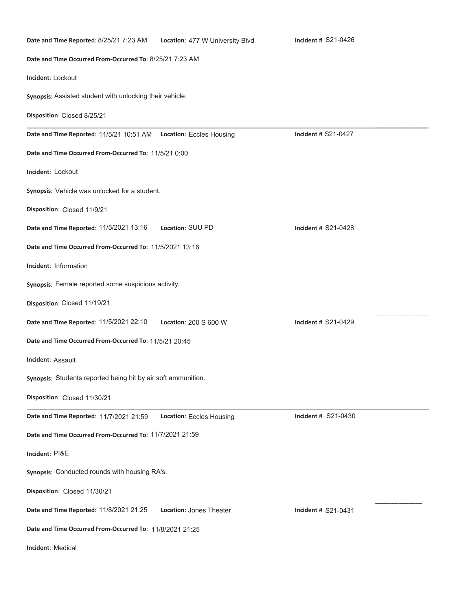| Date and Time Reported: 8/25/21 7:23 AM                              | Location: 477 W University Blvd | Incident # S21-0426 |  |
|----------------------------------------------------------------------|---------------------------------|---------------------|--|
| Date and Time Occurred From-Occurred To: 8/25/21 7:23 AM             |                                 |                     |  |
| Incident: Lockout                                                    |                                 |                     |  |
| Synopsis: Assisted student with unlocking their vehicle.             |                                 |                     |  |
| Disposition: Closed 8/25/21                                          |                                 |                     |  |
| Date and Time Reported: 11/5/21 10:51 AM    Location: Eccles Housing |                                 | Incident # S21-0427 |  |
| Date and Time Occurred From-Occurred To: 11/5/21 0:00                |                                 |                     |  |
| Incident: Lockout                                                    |                                 |                     |  |
| Synopsis: Vehicle was unlocked for a student.                        |                                 |                     |  |
| Disposition: Closed 11/9/21                                          |                                 |                     |  |
| Date and Time Reported: 11/5/2021 13:16                              | Location: SUU PD                | Incident # S21-0428 |  |
| Date and Time Occurred From-Occurred To: 11/5/2021 13:16             |                                 |                     |  |
| Incident: Information                                                |                                 |                     |  |
| Synopsis: Female reported some suspicious activity.                  |                                 |                     |  |
| Disposition: Closed 11/19/21                                         |                                 |                     |  |
| Date and Time Reported: 11/5/2021 22:10                              | Location: 200 S 600 W           | Incident # S21-0429 |  |
| Date and Time Occurred From-Occurred To: 11/5/21 20:45               |                                 |                     |  |
| Incident: Assault                                                    |                                 |                     |  |
| Synopsis: Students reported being hit by air soft ammunition.        |                                 |                     |  |
| Disposition: Closed 11/30/21                                         |                                 |                     |  |
| Date and Time Reported: 11/7/2021 21:59                              | Location: Eccles Housing        | Incident # S21-0430 |  |
| Date and Time Occurred From-Occurred To: 11/7/2021 21:59             |                                 |                     |  |
| Incident: PI&E                                                       |                                 |                     |  |
| Synopsis: Conducted rounds with housing RA's.                        |                                 |                     |  |
| Disposition: Closed 11/30/21                                         |                                 |                     |  |
| Date and Time Reported: 11/8/2021 21:25                              | Location: Jones Theater         | Incident # S21-0431 |  |
| Date and Time Occurred From-Occurred To: 11/8/2021 21:25             |                                 |                     |  |

**Incident: Medical**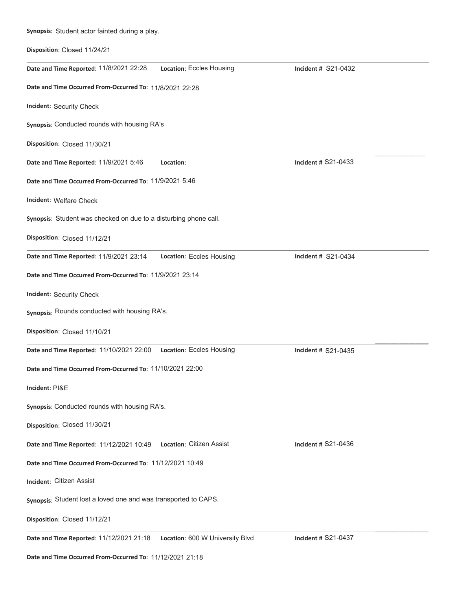| Synopsis: Student actor fainted during a play.                   |                                 |                            |
|------------------------------------------------------------------|---------------------------------|----------------------------|
| Disposition: Closed 11/24/21                                     |                                 |                            |
| Date and Time Reported: 11/8/2021 22:28                          | Location: Eccles Housing        | Incident # S21-0432        |
| Date and Time Occurred From-Occurred To: 11/8/2021 22:28         |                                 |                            |
| Incident: Security Check                                         |                                 |                            |
| Synopsis: Conducted rounds with housing RA's                     |                                 |                            |
| Disposition: Closed 11/30/21                                     |                                 |                            |
| Date and Time Reported: 11/9/2021 5:46                           | Location:                       | Incident # S21-0433        |
| Date and Time Occurred From-Occurred To: 11/9/2021 5:46          |                                 |                            |
| Incident: Welfare Check                                          |                                 |                            |
| Synopsis: Student was checked on due to a disturbing phone call. |                                 |                            |
| Disposition: Closed 11/12/21                                     |                                 |                            |
| Date and Time Reported: 11/9/2021 23:14                          | Location: Eccles Housing        | <b>Incident # S21-0434</b> |
| Date and Time Occurred From-Occurred To: 11/9/2021 23:14         |                                 |                            |
| Incident: Security Check                                         |                                 |                            |
| Synopsis: Rounds conducted with housing RA's.                    |                                 |                            |
| Disposition: Closed 11/10/21                                     |                                 |                            |
| Date and Time Reported: 11/10/2021 22:00                         | Location: Eccles Housing        | Incident # S21-0435        |
| Date and Time Occurred From-Occurred To: 11/10/2021 22:00        |                                 |                            |
| Incident: PI&E                                                   |                                 |                            |
| Synopsis: Conducted rounds with housing RA's.                    |                                 |                            |
| Disposition: Closed 11/30/21                                     |                                 |                            |
| Date and Time Reported: 11/12/2021 10:49                         | Location: Citizen Assist        | <b>Incident # S21-0436</b> |
| Date and Time Occurred From-Occurred To: 11/12/2021 10:49        |                                 |                            |
| Incident: Citizen Assist                                         |                                 |                            |
| Synopsis: Student lost a loved one and was transported to CAPS.  |                                 |                            |
| Disposition: Closed 11/12/21                                     |                                 |                            |
| Date and Time Reported: 11/12/2021 21:18                         | Location: 600 W University Blvd | <b>Incident # S21-0437</b> |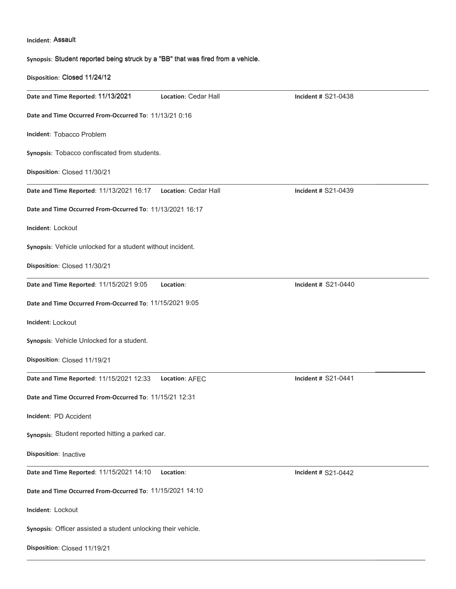### Incident: Assault

**Disposition: Closed 11/19/21** 

Synopsis: Student reported being struck by a "BB" that was fired from a vehicle.

**ŝƐƉŽƐŝƚŝŽŶ**͗ Closed 11/24/12 **Date and Time Reported: 11/13/2021 Location: Cedar Hall <b>Analysis Communist Communist** Incident # Date and Time Occurred From-Occurred To: 11/13/21 0:16 **Incident: Tobacco Problem** Synopsis: Tobacco confiscated from students. **Disposition: Closed 11/30/21**  $\overline{\phantom{a}}$ **Date and Time Reported: 11/13/2021 16:17 Location: Cedar Hall Same Construent # S21-0439 Charl S21-0439** Date and Time Occurred From-Occurred To: 11/13/2021 16:17 **Incident: Lockout** Synopsis: Vehicle unlocked for a student without incident. **Disposition: Closed 11/30/21** Date and Time Reported: 11/15/2021 9:05 Location: Date and Time Occurred From-Occurred To: 11/15/2021 9:05 **Incident: Lockout** Synopsis: Vehicle Unlocked for a student. **Disposition: Closed 11/19/21**  $\overline{\phantom{a}}$ **Date and Time Reported:** 11/15/2021 12:33 Location: AFEC **Same Separation 11/2010** Incident # S21-0441 Date and Time Occurred From-Occurred To: 11/15/21 12:31 Incident: PD Accident **Synopsis**: Student reported hitting a parked car. **Disposition: Inactive Date and Time Reported:** 11/15/2021 14:10 Location: **Alta Constant American State of the S21-0442** Date and Time Occurred From-Occurred To: 11/15/2021 14:10 **Incident: Lockout** Synopsis: Officer assisted a student unlocking their vehicle. Location: Cedar Hall **Incident # S21-0438** Incident # S21-0440

 $\overline{\phantom{a}}$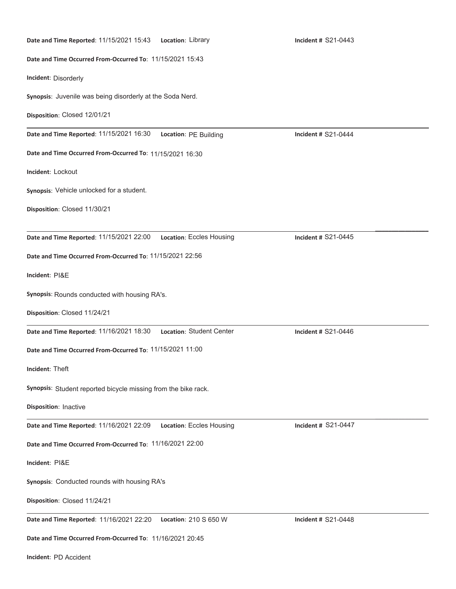| Date and Time Reported: 11/15/2021 15:43    Location: Library  |                                                           | Incident # S21-0443 |  |  |
|----------------------------------------------------------------|-----------------------------------------------------------|---------------------|--|--|
|                                                                | Date and Time Occurred From-Occurred To: 11/15/2021 15:43 |                     |  |  |
| Incident: Disorderly                                           |                                                           |                     |  |  |
| Synopsis: Juvenile was being disorderly at the Soda Nerd.      |                                                           |                     |  |  |
| Disposition: Closed 12/01/21                                   |                                                           |                     |  |  |
| Date and Time Reported: 11/15/2021 16:30                       | Location: PE Building                                     | Incident # S21-0444 |  |  |
| Date and Time Occurred From-Occurred To: 11/15/2021 16:30      |                                                           |                     |  |  |
| Incident: Lockout                                              |                                                           |                     |  |  |
| Synopsis: Vehicle unlocked for a student.                      |                                                           |                     |  |  |
| Disposition: Closed 11/30/21                                   |                                                           |                     |  |  |
| Date and Time Reported: 11/15/2021 22:00                       | Location: Eccles Housing                                  | Incident # S21-0445 |  |  |
| Date and Time Occurred From-Occurred To: 11/15/2021 22:56      |                                                           |                     |  |  |
|                                                                |                                                           |                     |  |  |
| Incident: PI&E                                                 |                                                           |                     |  |  |
| Synopsis: Rounds conducted with housing RA's.                  |                                                           |                     |  |  |
| Disposition: Closed 11/24/21                                   |                                                           |                     |  |  |
| Date and Time Reported: 11/16/2021 18:30                       | Location: Student Center                                  | Incident # S21-0446 |  |  |
| Date and Time Occurred From-Occurred To: 11/15/2021 11:00      |                                                           |                     |  |  |
| Incident: Theft                                                |                                                           |                     |  |  |
| Synopsis: Student reported bicycle missing from the bike rack. |                                                           |                     |  |  |
| Disposition: Inactive                                          |                                                           |                     |  |  |
| Date and Time Reported: 11/16/2021 22:09                       | Location: Eccles Housing                                  | Incident # S21-0447 |  |  |
| Date and Time Occurred From-Occurred To: 11/16/2021 22:00      |                                                           |                     |  |  |
| Incident: PI&E                                                 |                                                           |                     |  |  |
| Synopsis: Conducted rounds with housing RA's                   |                                                           |                     |  |  |
| Disposition: Closed 11/24/21                                   |                                                           |                     |  |  |
| Date and Time Reported: 11/16/2021 22:20                       | Location: 210 S 650 W                                     | Incident # S21-0448 |  |  |
| Date and Time Occurred From-Occurred To: 11/16/2021 20:45      |                                                           |                     |  |  |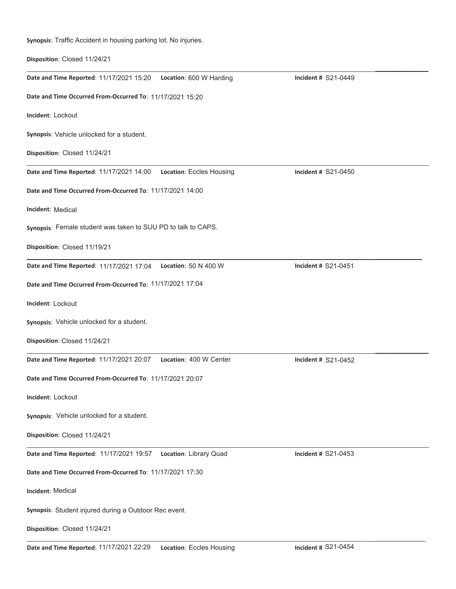Synopsis: Traffic Accident in housing parking lot. No injuries.

**Disposition: Closed 11/24/21** 

| Date and Time Reported: 11/17/2021 15:20    Location: 600 W Harding  | Incident # S21-0449 |
|----------------------------------------------------------------------|---------------------|
| Date and Time Occurred From-Occurred To: 11/17/2021 15:20            |                     |
| Incident: Lockout                                                    |                     |
| Synopsis: Vehicle unlocked for a student.                            |                     |
| Disposition: Closed 11/24/21                                         |                     |
| Date and Time Reported: 11/17/2021 14:00<br>Location: Eccles Housing | Incident # S21-0450 |
| Date and Time Occurred From-Occurred To: 11/17/2021 14:00            |                     |
| <b>Incident: Medical</b>                                             |                     |
| Synopsis: Female student was taken to SUU PD to talk to CAPS.        |                     |
| Disposition: Closed 11/19/21                                         |                     |
| Date and Time Reported: 11/17/2021 17:04<br>Location: 50 N 400 W     | Incident # S21-0451 |
| Date and Time Occurred From-Occurred To: 11/17/2021 17:04            |                     |
| Incident: Lockout                                                    |                     |
| Synopsis: Vehicle unlocked for a student.                            |                     |
| Disposition: Closed 11/24/21                                         |                     |
| Date and Time Reported: 11/17/2021 20:07<br>Location: 400 W Center   | Incident # S21-0452 |
| Date and Time Occurred From-Occurred To: 11/17/2021 20:07            |                     |
| Incident: Lockout                                                    |                     |
| Synopsis: Vehicle unlocked for a student.                            |                     |
| Disposition: Closed 11/24/21                                         |                     |
| Date and Time Reported: 11/17/2021 19:57<br>Location: Library Quad   | Incident # S21-0453 |
| Date and Time Occurred From-Occurred To: 11/17/2021 17:30            |                     |
| Incident: Medical                                                    |                     |
| Synopsis: Student injured during a Outdoor Rec event.                |                     |
| Disposition: Closed 11/24/21                                         |                     |
|                                                                      |                     |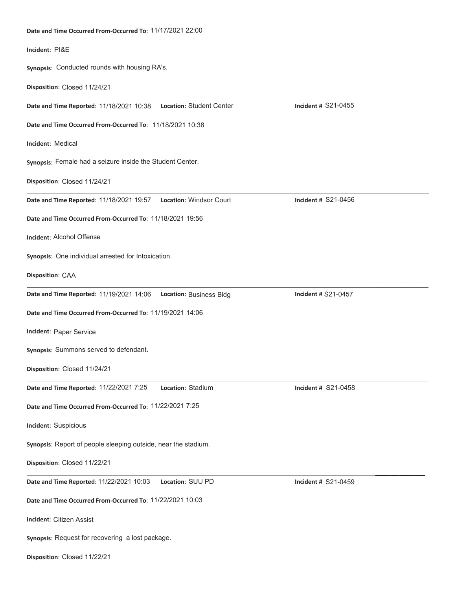| Date and Time Occurred From-Occurred To: 11/17/2021 22:00            |                     |  |
|----------------------------------------------------------------------|---------------------|--|
| Incident: PI&E                                                       |                     |  |
| Synopsis: Conducted rounds with housing RA's.                        |                     |  |
| Disposition: Closed 11/24/21                                         |                     |  |
| Location: Student Center<br>Date and Time Reported: 11/18/2021 10:38 | Incident # S21-0455 |  |
| Date and Time Occurred From-Occurred To: 11/18/2021 10:38            |                     |  |
| Incident: Medical                                                    |                     |  |
| Synopsis: Female had a seizure inside the Student Center.            |                     |  |
| Disposition: Closed 11/24/21                                         |                     |  |
| Date and Time Reported: 11/18/2021 19:57    Location: Windsor Court  | Incident # S21-0456 |  |
| Date and Time Occurred From-Occurred To: 11/18/2021 19:56            |                     |  |
| Incident: Alcohol Offense                                            |                     |  |
| Synopsis: One individual arrested for Intoxication.                  |                     |  |
| Disposition: CAA                                                     |                     |  |
| Date and Time Reported: 11/19/2021 14:06    Location: Business Bldg  | Incident # S21-0457 |  |
| Date and Time Occurred From-Occurred To: 11/19/2021 14:06            |                     |  |
| Incident: Paper Service                                              |                     |  |
| Synopsis: Summons served to defendant.                               |                     |  |
| Disposition: Closed 11/24/21                                         |                     |  |
| Date and Time Reported: 11/22/2021 7:25<br>Location: Stadium         | Incident # S21-0458 |  |
| Date and Time Occurred From-Occurred To: 11/22/2021 7:25             |                     |  |
| Incident: Suspicious                                                 |                     |  |
| Synopsis: Report of people sleeping outside, near the stadium.       |                     |  |
| Disposition: Closed 11/22/21                                         |                     |  |
| Date and Time Reported: 11/22/2021 10:03<br>Location: SUU PD         | Incident # S21-0459 |  |
| Date and Time Occurred From-Occurred To: 11/22/2021 10:03            |                     |  |
| Incident: Citizen Assist                                             |                     |  |
| Synopsis: Request for recovering a lost package.                     |                     |  |

**Disposition: Closed 11/22/21**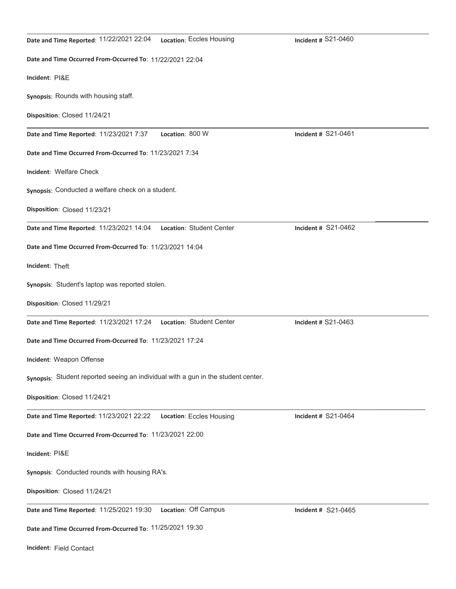| Date and Time Reported: 11/22/2021 22:04<br>Location: Eccles Housing              | Incident # S21-0460        |  |
|-----------------------------------------------------------------------------------|----------------------------|--|
| Date and Time Occurred From-Occurred To: 11/22/2021 22:04                         |                            |  |
| Incident: PI&E                                                                    |                            |  |
| Synopsis: Rounds with housing staff.                                              |                            |  |
| Disposition: Closed 11/24/21                                                      |                            |  |
| Location: 800 W<br>Date and Time Reported: 11/23/2021 7:37                        | <b>Incident # S21-0461</b> |  |
| Date and Time Occurred From-Occurred To: 11/23/2021 7:34                          |                            |  |
| Incident: Welfare Check                                                           |                            |  |
| Synopsis: Conducted a welfare check on a student.                                 |                            |  |
| Disposition: Closed 11/23/21                                                      |                            |  |
| Date and Time Reported: 11/23/2021 14:04<br>Location: Student Center              | <b>Incident # S21-0462</b> |  |
| Date and Time Occurred From-Occurred To: 11/23/2021 14:04                         |                            |  |
| Incident: Theft                                                                   |                            |  |
| Synopsis: Student's laptop was reported stolen.                                   |                            |  |
| Disposition: Closed 11/29/21                                                      |                            |  |
| Date and Time Reported: 11/23/2021 17:24    Location: Student Center              | Incident # S21-0463        |  |
| Date and Time Occurred From-Occurred To: 11/23/2021 17:24                         |                            |  |
| Incident: Weapon Offense                                                          |                            |  |
| Synopsis: Student reported seeing an individual with a gun in the student center. |                            |  |
| Disposition: Closed 11/24/21                                                      |                            |  |
| Date and Time Reported: 11/23/2021 22:22    Location: Eccles Housing              | Incident # S21-0464        |  |
| Date and Time Occurred From-Occurred To: 11/23/2021 22:00                         |                            |  |
| Incident: PI&E                                                                    |                            |  |
| Synopsis: Conducted rounds with housing RA's.                                     |                            |  |
| Disposition: Closed 11/24/21                                                      |                            |  |
| Location: Off Campus<br>Date and Time Reported: 11/25/2021 19:30                  | Incident # S21-0465        |  |
| Date and Time Occurred From-Occurred To: 11/25/2021 19:30                         |                            |  |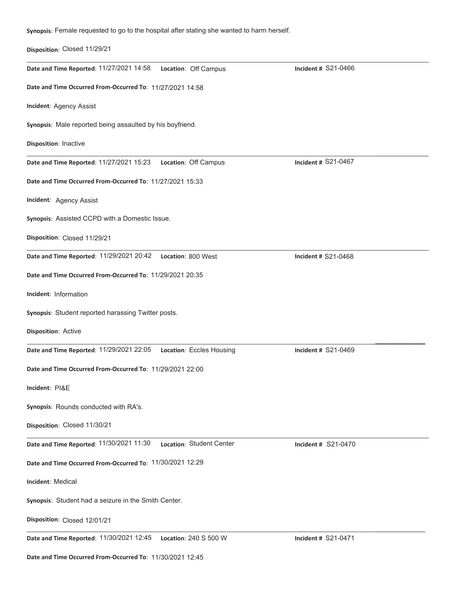**Synopsis**: Female requested to go to the hospital after stating she wanted to harm herself.

## **Disposition: Closed 11/29/21**

| Date and Time Reported: 11/27/2021 14:58                             | Location: Off Campus     | Incident # S21-0466 |
|----------------------------------------------------------------------|--------------------------|---------------------|
| Date and Time Occurred From-Occurred To: 11/27/2021 14:58            |                          |                     |
| Incident: Agency Assist                                              |                          |                     |
| Synopsis: Male reported being assaulted by his boyfriend.            |                          |                     |
| Disposition: Inactive                                                |                          |                     |
| Date and Time Reported: 11/27/2021 15:23                             | Location: Off Campus     | Incident # S21-0467 |
| Date and Time Occurred From-Occurred To: 11/27/2021 15:33            |                          |                     |
| Incident: Agency Assist                                              |                          |                     |
| Synopsis: Assisted CCPD with a Domestic Issue.                       |                          |                     |
| Disposition: Closed 11/29/21                                         |                          |                     |
| Date and Time Reported: 11/29/2021 20:42                             | Location: 800 West       | Incident # S21-0468 |
| Date and Time Occurred From-Occurred To: 11/29/2021 20:35            |                          |                     |
| Incident: Information                                                |                          |                     |
| Synopsis: Student reported harassing Twitter posts.                  |                          |                     |
| Disposition: Active                                                  |                          |                     |
| Date and Time Reported: 11/29/2021 22:05    Location: Eccles Housing |                          | Incident # S21-0469 |
| Date and Time Occurred From-Occurred To: 11/29/2021 22:00            |                          |                     |
| Incident: PI&E                                                       |                          |                     |
| Synopsis: Rounds conducted with RA's.                                |                          |                     |
| Disposition: Closed 11/30/21                                         |                          |                     |
| Date and Time Reported: 11/30/2021 11:30                             | Location: Student Center | Incident # S21-0470 |
| Date and Time Occurred From-Occurred To: 11/30/2021 12:29            |                          |                     |
| <b>Incident: Medical</b>                                             |                          |                     |
| Synopsis: Student had a seizure in the Smith Center.                 |                          |                     |
| Disposition: Closed 12/01/21                                         |                          |                     |
| Date and Time Reported: 11/30/2021 12:45                             | Location: $240 S 500 W$  | Incident # S21-0471 |